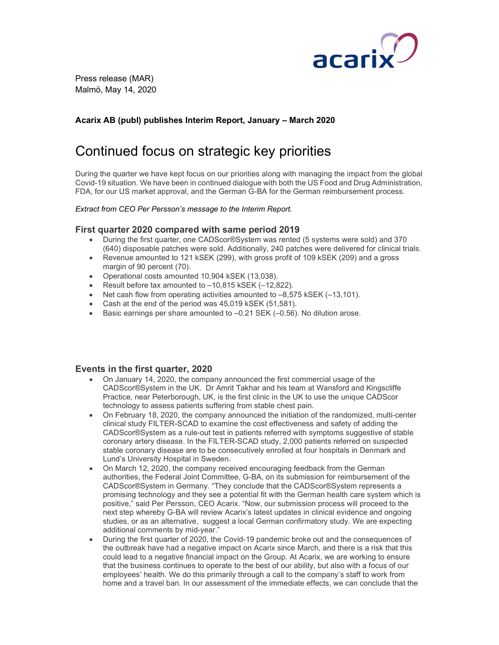

Press release (MAR) Malmö, May 14, 2020

# Acarix AB (publ) publishes Interim Report, January – March 2020

# Continued focus on strategic key priorities

During the quarter we have kept focus on our priorities along with managing the impact from the global Covid-19 situation. We have been in continued dialogue with both the US Food and Drug Administration, FDA, for our US market approval, and the German G-BA for the German reimbursement process.

#### Extract from CEO Per Persson's message to the Interim Report.

## First quarter 2020 compared with same period 2019

- During the first quarter, one CADScor®System was rented (5 systems were sold) and 370 (640) disposable patches were sold. Additionally, 240 patches were delivered for clinical trials.
- Revenue amounted to 121 kSEK (299), with gross profit of 109 kSEK (209) and a gross margin of 90 percent (70).
- Operational costs amounted 10,904 kSEK (13,038).
- Result before tax amounted to –10,815 kSEK (–12,822).
- $\bullet$  Net cash flow from operating activities amounted to  $-8,575$  kSEK ( $-13,101$ ).
- Cash at the end of the period was 45,019 kSEK (51,581).
- Basic earnings per share amounted to -0.21 SEK (-0.56). No dilution arose.

## Events in the first quarter, 2020

- On January 14, 2020, the company announced the first commercial usage of the CADScor®System in the UK. Dr Amrit Takhar and his team at Wansford and Kingscliffe Practice, near Peterborough, UK, is the first clinic in the UK to use the unique CADScor technology to assess patients suffering from stable chest pain.
- On February 18, 2020, the company announced the initiation of the randomized, multi-center clinical study FILTER-SCAD to examine the cost effectiveness and safety of adding the CADScor®System as a rule-out test in patients referred with symptoms suggestive of stable coronary artery disease. In the FILTER-SCAD study, 2,000 patients referred on suspected stable coronary disease are to be consecutively enrolled at four hospitals in Denmark and Lund's University Hospital in Sweden.
- On March 12, 2020, the company received encouraging feedback from the German authorities, the Federal Joint Committee, G-BA, on its submission for reimbursement of the CADScor®System in Germany. "They conclude that the CADScor®System represents a promising technology and they see a potential fit with the German health care system which is positive," said Per Persson, CEO Acarix. "Now, our submission process will proceed to the next step whereby G-BA will review Acarix's latest updates in clinical evidence and ongoing studies, or as an alternative, suggest a local German confirmatory study. We are expecting additional comments by mid-year."
- During the first quarter of 2020, the Covid-19 pandemic broke out and the consequences of the outbreak have had a negative impact on Acarix since March, and there is a risk that this could lead to a negative financial impact on the Group. At Acarix, we are working to ensure that the business continues to operate to the best of our ability, but also with a focus of our employees' health. We do this primarily through a call to the company's staff to work from home and a travel ban. In our assessment of the immediate effects, we can conclude that the